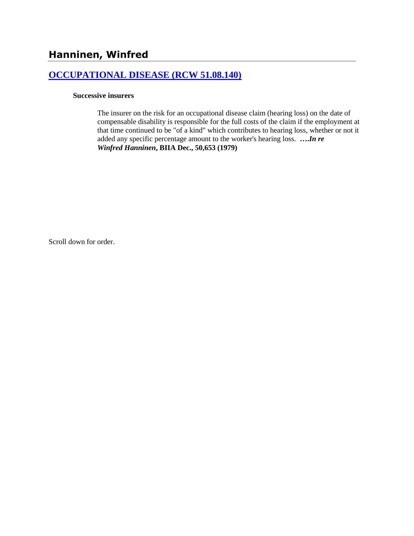## **[OCCUPATIONAL DISEASE \(RCW 51.08.140\)](http://www.biia.wa.gov/SDSubjectIndex.html#OCCUPATIONAL_DISEASE)**

### **Successive insurers**

The insurer on the risk for an occupational disease claim (hearing loss) on the date of compensable disability is responsible for the full costs of the claim if the employment at that time continued to be "of a kind" which contributes to hearing loss, whether or not it added any specific percentage amount to the worker's hearing loss. **….***In re Winfred Hanninen***, BIIA Dec., 50,653 (1979)** 

Scroll down for order.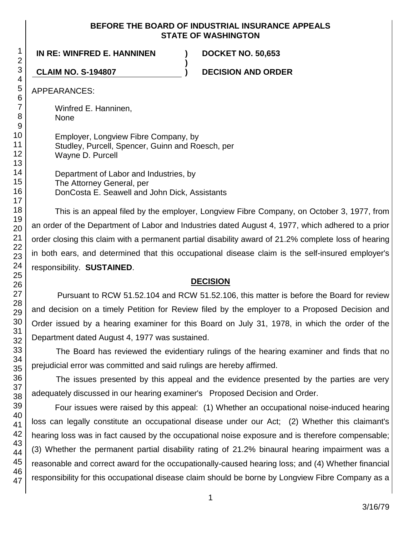## **BEFORE THE BOARD OF INDUSTRIAL INSURANCE APPEALS STATE OF WASHINGTON**

**)**

**IN RE: WINFRED E. HANNINEN ) DOCKET NO. 50,653**

**CLAIM NO. S-194807 ) DECISION AND ORDER**

APPEARANCES:

Winfred E. Hanninen, None

Employer, Longview Fibre Company, by Studley, Purcell, Spencer, Guinn and Roesch, per Wayne D. Purcell

Department of Labor and Industries, by The Attorney General, per DonCosta E. Seawell and John Dick, Assistants

This is an appeal filed by the employer, Longview Fibre Company, on October 3, 1977, from an order of the Department of Labor and Industries dated August 4, 1977, which adhered to a prior order closing this claim with a permanent partial disability award of 21.2% complete loss of hearing in both ears, and determined that this occupational disease claim is the self-insured employer's responsibility. **SUSTAINED**.

# **DECISION**

Pursuant to RCW 51.52.104 and RCW 51.52.106, this matter is before the Board for review and decision on a timely Petition for Review filed by the employer to a Proposed Decision and Order issued by a hearing examiner for this Board on July 31, 1978, in which the order of the Department dated August 4, 1977 was sustained.

The Board has reviewed the evidentiary rulings of the hearing examiner and finds that no prejudicial error was committed and said rulings are hereby affirmed.

The issues presented by this appeal and the evidence presented by the parties are very adequately discussed in our hearing examiner's Proposed Decision and Order.

Four issues were raised by this appeal: (1) Whether an occupational noise-induced hearing loss can legally constitute an occupational disease under our Act; (2) Whether this claimant's hearing loss was in fact caused by the occupational noise exposure and is therefore compensable; (3) Whether the permanent partial disability rating of 21.2% binaural hearing impairment was a reasonable and correct award for the occupationally-caused hearing loss; and (4) Whether financial responsibility for this occupational disease claim should be borne by Longview Fibre Company as a

1